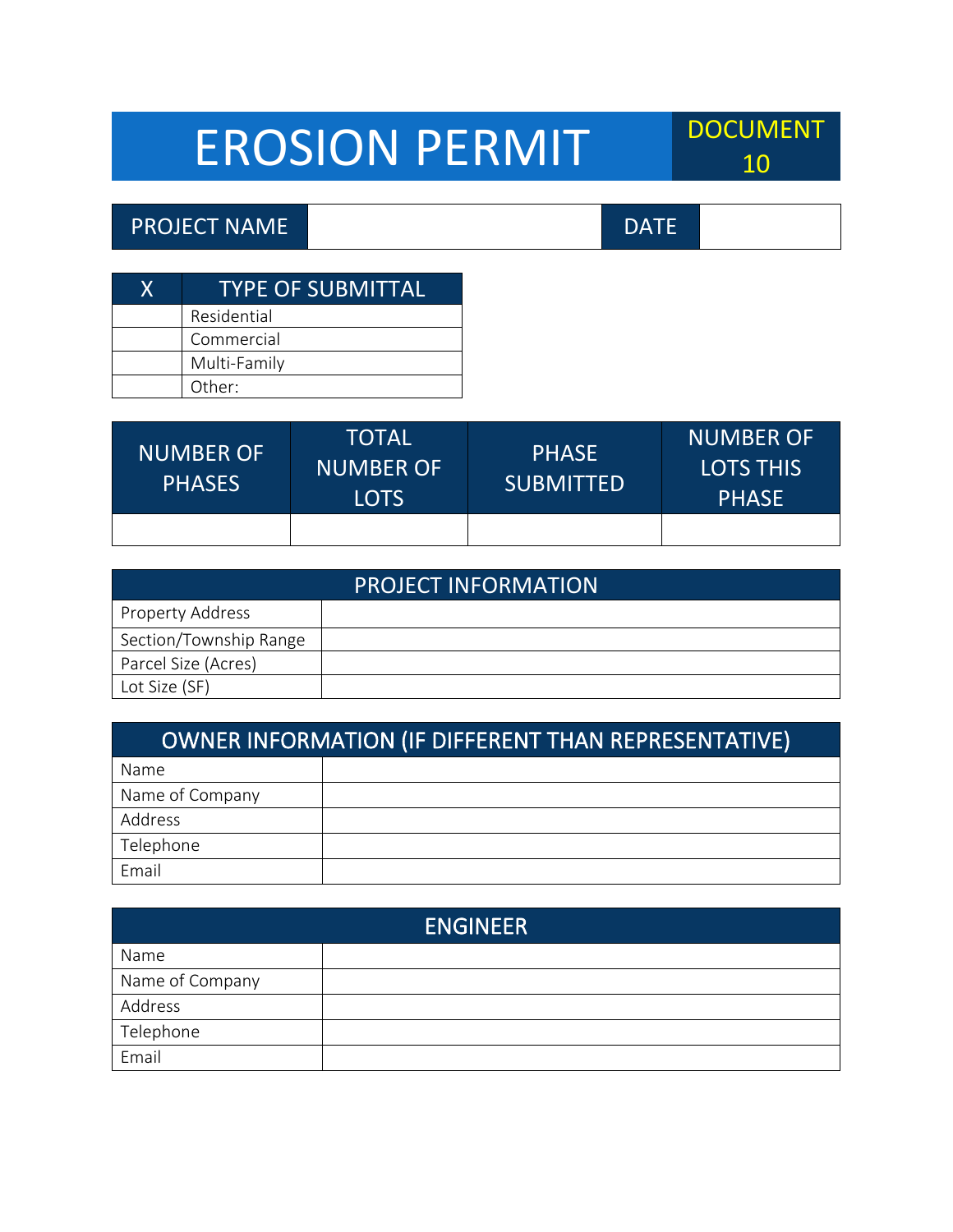## EROSION PERMIT POCUMENT

## PROJECT NAME DATE

| <b>TYPE OF SUBMITTAL</b> |
|--------------------------|
| Residential              |
| Commercial               |
| Multi-Family             |
| Other:                   |

| <b>NUMBER OF</b><br><b>PHASES</b> | TOTAL<br><b>NUMBER OF</b><br><b>LOTS</b> | <b>PHASE</b><br><b>SUBMITTED</b> | <b>NUMBER OF</b><br><b>LOTS THIS</b><br><b>PHASE</b> |
|-----------------------------------|------------------------------------------|----------------------------------|------------------------------------------------------|
|                                   |                                          |                                  |                                                      |

| <b>PROJECT INFORMATION</b> |  |  |
|----------------------------|--|--|
| <b>Property Address</b>    |  |  |
| Section/Township Range     |  |  |
| Parcel Size (Acres)        |  |  |
| Lot Size (SF)              |  |  |

| OWNER INFORMATION (IF DIFFERENT THAN REPRESENTATIVE) |  |  |
|------------------------------------------------------|--|--|
| Name                                                 |  |  |
| Name of Company                                      |  |  |
| Address                                              |  |  |
| Telephone                                            |  |  |
| Email                                                |  |  |

| <b>ENGINEER</b> |  |  |
|-----------------|--|--|
| Name            |  |  |
| Name of Company |  |  |
| Address         |  |  |
| Telephone       |  |  |
| Email           |  |  |